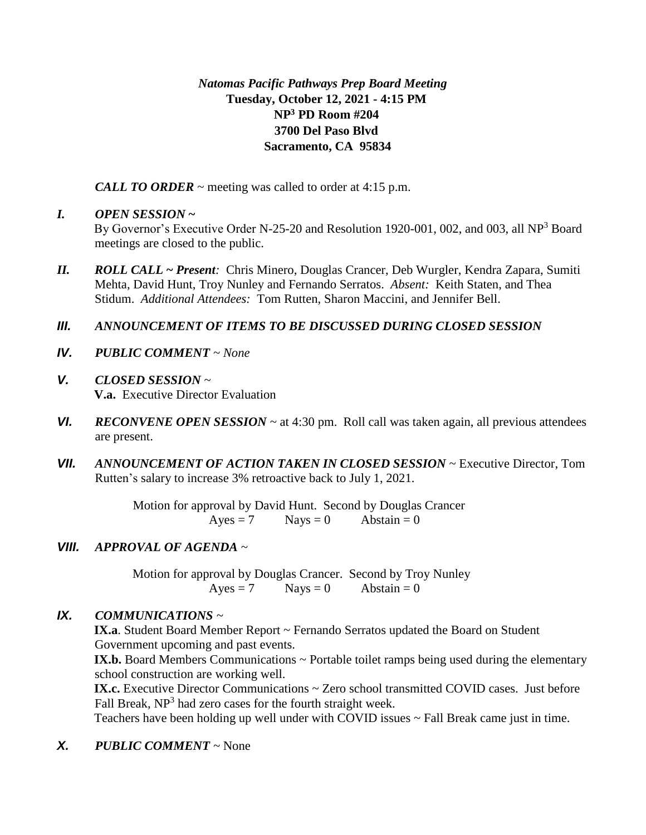## *Natomas Pacific Pathways Prep Board Meeting* **Tuesday, October 12, 2021 - 4:15 PM NP<sup>3</sup> PD Room #204 3700 Del Paso Blvd Sacramento, CA 95834**

*CALL TO ORDER* ~ meeting was called to order at 4:15 p.m.

## *I. OPEN SESSION* **~**

By Governor's Executive Order N-25-20 and Resolution 1920-001, 002, and 003, all NP<sup>3</sup> Board meetings are closed to the public.

*II. ROLL CALL* **~** *Present:* Chris Minero, Douglas Crancer, Deb Wurgler, Kendra Zapara, Sumiti Mehta, David Hunt, Troy Nunley and Fernando Serratos. *Absent:* Keith Staten, and Thea Stidum. *Additional Attendees:* Tom Rutten, Sharon Maccini, and Jennifer Bell.

## *III. ANNOUNCEMENT OF ITEMS TO BE DISCUSSED DURING CLOSED SESSION*

- *IV. PUBLIC COMMENT ~ None*
- *V. CLOSED SESSION ~*  **V.a.** Executive Director Evaluation
- *VI. RECONVENE OPEN SESSION ~* at 4:30 pm. Roll call was taken again, all previous attendees are present.
- *VII. ANNOUNCEMENT OF ACTION TAKEN IN CLOSED SESSION ~* Executive Director, Tom Rutten's salary to increase 3% retroactive back to July 1, 2021.

Motion for approval by David Hunt. Second by Douglas Crancer  $Ayes = 7$  Nays = 0 Abstain = 0

# *VIII. APPROVAL OF AGENDA ~*

Motion for approval by Douglas Crancer. Second by Troy Nunley  $Ayes = 7$  Nays = 0 Abstain = 0

## *IX. COMMUNICATIONS ~*

**IX.a**. Student Board Member Report ~ Fernando Serratos updated the Board on Student Government upcoming and past events.

**IX.b.** Board Members Communications  $\sim$  Portable toilet ramps being used during the elementary school construction are working well.

IX.c. Executive Director Communications ~ Zero school transmitted COVID cases. Just before Fall Break,  $NP<sup>3</sup>$  had zero cases for the fourth straight week.

Teachers have been holding up well under with COVID issues ~ Fall Break came just in time.

# *X. PUBLIC COMMENT ~* None